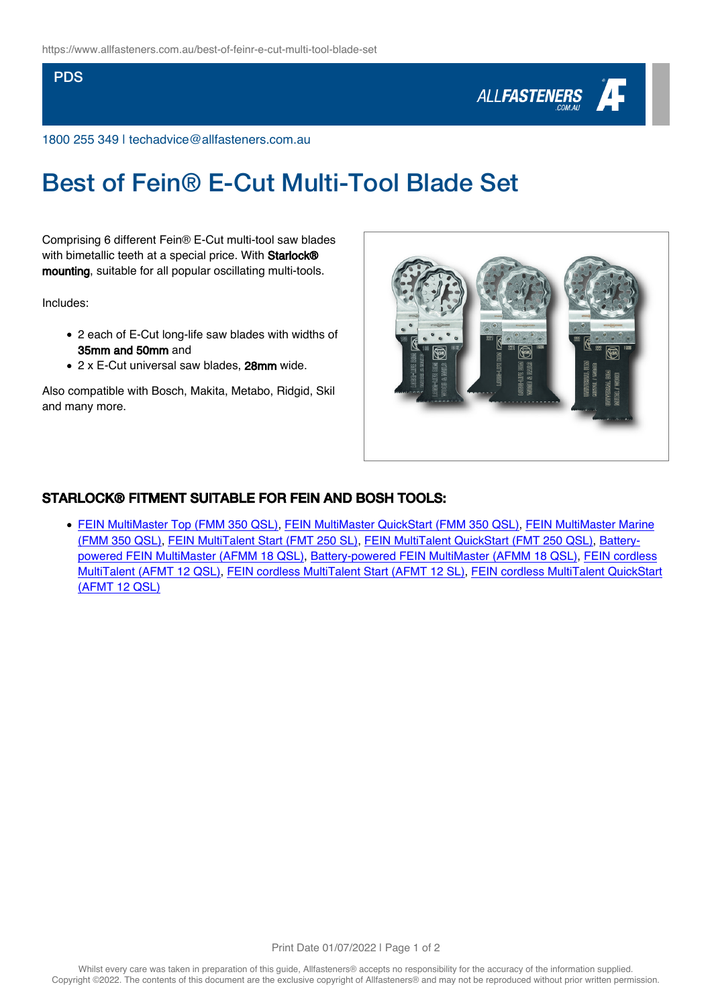## **PDS**



1800 255 349 | techadvice@allfasteners.com.au

## Best of Fein® E-Cut Multi-Tool Blade Set

Comprising 6 different Fein® E-Cut multi-tool saw blades with bimetallic teeth at a special price. With Starlock® mounting, suitable for all popular oscillating multi-tools.

Includes:

- 2 each of E-Cut long-life saw blades with widths of 35mm and 50mm and
- 2 x E-Cut universal saw blades, 28mm wide.

Also compatible with Bosch, Makita, Metabo, Ridgid, Skil and many more.



## STARLOCK® FITMENT SUITABLE FOR FEIN AND BOSH TOOLS:

[FEIN MultiMaster Top \(FMM 350 QSL\),](https://fein.com/en_au/oscillating/multimaster/fein-multimaster-top-0342757/) [FEIN MultiMaster QuickStart \(FMM 350 QSL\)](https://fein.com/en_au/oscillating/multimaster/fein-multimaster-quickstart-0342769/), [FEIN MultiMaster Marine](https://fein.com/en_au/oscillating/multimaster/fein-multimaster-marine-0342785/) [\(FMM 350 QSL\)](https://fein.com/en_au/oscillating/multimaster/fein-multimaster-marine-0342785/), [FEIN MultiTalent Start \(FMT 250 SL\)](https://fein.com/en_au/oscillating/multimaster/fein-multitalent-start-0341883/), [FEIN MultiTalent QuickStart \(FMT 250 QSL\),](https://fein.com/en_au/oscillating/multimaster/fein-multitalent-quickstart-0341862/) [Battery](https://fein.com/en_au/oscillating/multimaster/battery-powered-fein-multimaster-0347273/)[powered FEIN MultiMaster \(AFMM 18 QSL\)](https://fein.com/en_au/oscillating/multimaster/battery-powered-fein-multimaster-0347273/), [Battery-powered FEIN MultiMaster \(AFMM 18 QSL\),](https://fein.com/en_au/oscillating/multimaster/battery-powered-fein-multimaster-0342462/) [FEIN cordless](https://fein.com/en_au/oscillating/multimaster/fein-cordless-multitalent-0348546/) [MultiTalent \(AFMT 12 QSL\)](https://fein.com/en_au/oscillating/multimaster/fein-cordless-multitalent-0348546/), [FEIN cordless MultiTalent Start \(AFMT 12 SL\),](https://fein.com/en_au/oscillating/multimaster/fein-cordless-multitalent-start-0342153/) [FEIN cordless MultiTalent QuickStart](https://fein.com/en_au/oscillating/multimaster/fein-cordless-multitalent-quickstart-0342143/) [\(AFMT 12 QSL\)](https://fein.com/en_au/oscillating/multimaster/fein-cordless-multitalent-quickstart-0342143/)